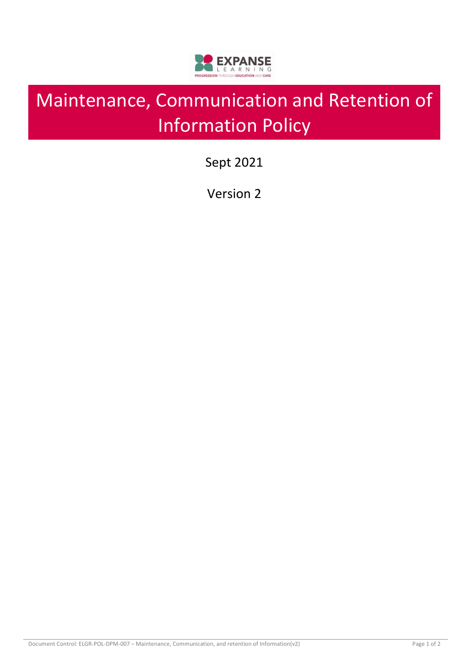

# Maintenance, Communication and Retention of Information Policy

Sept 2021

Version 2